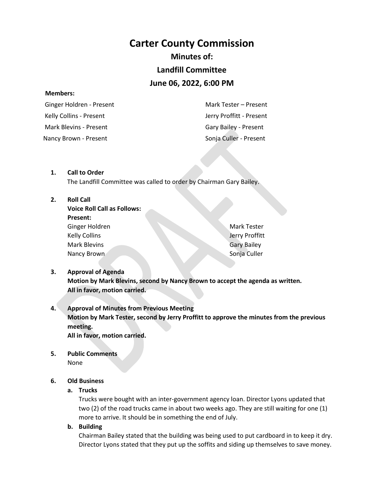# **Carter County Commission**

# **Minutes of:**

# **Landfill Committee**

# **June 06, 2022, 6:00 PM**

#### **Members:**

 Ginger Holdren - Present Kelly Collins - Present Mark Blevins - Present Nancy Brown - Present Sonja Culler - Present

 Mark Tester – Present Jerry Proffitt - Present Gary Bailey - Present

#### **1. Call to Order**

The Landfill Committee was called to order by Chairman Gary Bailey.

#### **2. Roll Call**

| Voice Roll Call as Follows: |
|-----------------------------|
| Present:                    |
| Ginger Holdren              |
| <b>Kelly Collins</b>        |
| Mark Blevins                |
| Nancy Brown                 |

Mark Tester Jerry Proffitt Gary Bailey Sonja Culler

# **3. Approval of Agenda Motion by Mark Blevins, second by Nancy Brown to accept the agenda as written. All in favor, motion carried.**

### **4. Approval of Minutes from Previous Meeting Motion by Mark Tester, second by Jerry Proffitt to approve the minutes from the previous meeting. All in favor, motion carried.**

**5. Public Comments**

None

### **6. Old Business**

#### **a. Trucks**

Trucks were bought with an inter-government agency loan. Director Lyons updated that two (2) of the road trucks came in about two weeks ago. They are still waiting for one (1) more to arrive. It should be in something the end of July.

**b. Building**

Chairman Bailey stated that the building was being used to put cardboard in to keep it dry. Director Lyons stated that they put up the soffits and siding up themselves to save money.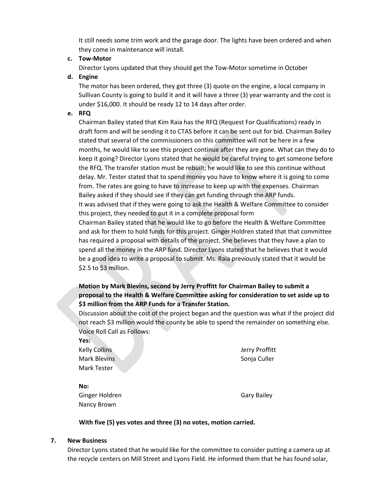It still needs some trim work and the garage door. The lights have been ordered and when they come in maintenance will install.

#### **c. Tow-Motor**

Director Lyons updated that they should get the Tow-Motor sometime in October

#### **d. Engine**

The motor has been ordered, they got three (3) quote on the engine, a local company in Sullivan County is going to build it and it will have a three (3) year warranty and the cost is under \$16,000. It should be ready 12 to 14 days after order.

#### **e. RFQ**

Chairman Bailey stated that Kim Raia has the RFQ (Request For Qualifications) ready in draft form and will be sending it to CTAS before it can be sent out for bid. Chairman Bailey stated that several of the commissioners on this committee will not be here in a few months, he would like to see this project continue after they are gone. What can they do to keep it going? Director Lyons stated that he would be careful trying to get someone before the RFQ. The transfer station must be rebuilt; he would like to see this continue without delay. Mr. Tester stated that to spend money you have to know where it is going to come from. The rates are going to have to increase to keep up with the expenses. Chairman Bailey asked if they should see if they can get funding through the ARP funds. It was advised that if they were going to ask the Health & Welfare Committee to consider this project, they needed to put it in a complete proposal form

Chairman Bailey stated that he would like to go before the Health & Welfare Committee and ask for them to hold funds for this project. Ginger Holdren stated that that committee has required a proposal with details of the project. She believes that they have a plan to spend all the money in the ARP fund. Director Lyons stated that he believes that it would be a good idea to write a proposal to submit. Ms. Raia previously stated that it would be \$2.5 to \$3 million.

### **Motion by Mark Blevins, second by Jerry Proffitt for Chairman Bailey to submit a proposal to the Health & Welfare Committee asking for consideration to set aside up to \$3 million from the ARP Funds for a Transfer Station.**

Discussion about the cost of the project began and the question was what if the project did not reach \$3 million would the county be able to spend the remainder on something else. Voice Roll Call as Follows:

**Yes:**

Kelly Collins Mark Blevins Mark Tester

Jerry Proffitt Sonja Culler

**No:** Ginger Holdren Nancy Brown

Gary Bailey

#### **With five (5) yes votes and three (3) no votes, motion carried.**

#### **7. New Business**

Director Lyons stated that he would like for the committee to consider putting a camera up at the recycle centers on Mill Street and Lyons Field. He informed them that he has found solar,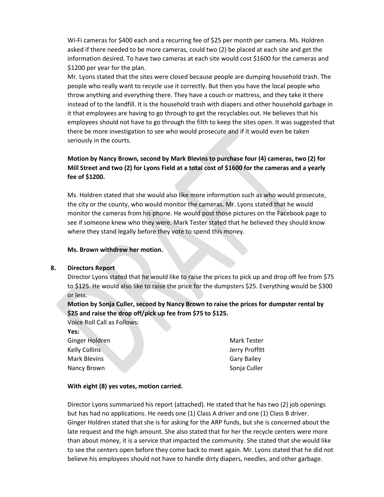Wi-Fi cameras for \$400 each and a recurring fee of \$25 per month per camera. Ms. Holdren asked if there needed to be more cameras, could two (2) be placed at each site and get the information desired. To have two cameras at each site would cost \$1600 for the cameras and \$1200 per year for the plan.

Mr. Lyons stated that the sites were closed because people are dumping household trash. The people who really want to recycle use it correctly. But then you have the local people who throw anything and everything there. They have a couch or mattress, and they take it there instead of to the landfill. It is the household trash with diapers and other household garbage in it that employees are having to go through to get the recyclables out. He believes that his employees should not have to go through the filth to keep the sites open. It was suggested that there be more investigation to see who would prosecute and if it would even be taken seriously in the courts.

# **Motion by Nancy Brown, second by Mark Blevins to purchase four (4) cameras, two (2) for Mill Street and two (2) for Lyons Field at a total cost of \$1600 for the cameras and a yearly fee of \$1200.**

Ms. Holdren stated that she would also like more information such as who would prosecute, the city or the county, who would monitor the cameras. Mr. Lyons stated that he would monitor the cameras from his phone. He would post those pictures on the Facebook page to see if someone knew who they were. Mark Tester stated that he believed they should know where they stand legally before they vote to spend this money.

#### **Ms. Brown withdrew her motion.**

#### **8. Directors Report**

Director Lyons stated that he would like to raise the prices to pick up and drop off fee from \$75 to \$125. He would also like to raise the price for the dumpsters \$25. Everything would be \$300 or less.

**Motion by Sonja Culler, second by Nancy Brown to raise the prices for dumpster rental by \$25 and raise the drop off/pick up fee from \$75 to \$125.** 

Voice Roll Call as Follows: **Yes:** Ginger Holdren Kelly Collins Mark Blevins Nancy Brown

Mark Tester Jerry Proffitt Gary Bailey Sonja Culler

#### **With eight (8) yes votes, motion carried.**

Director Lyons summarized his report (attached). He stated that he has two (2) job openings but has had no applications. He needs one (1) Class A driver and one (1) Class B driver. Ginger Holdren stated that she is for asking for the ARP funds, but she is concerned about the late request and the high amount. She also stated that for her the recycle centers were more than about money, it is a service that impacted the community. She stated that she would like to see the centers open before they come back to meet again. Mr. Lyons stated that he did not believe his employees should not have to handle dirty diapers, needles, and other garbage.